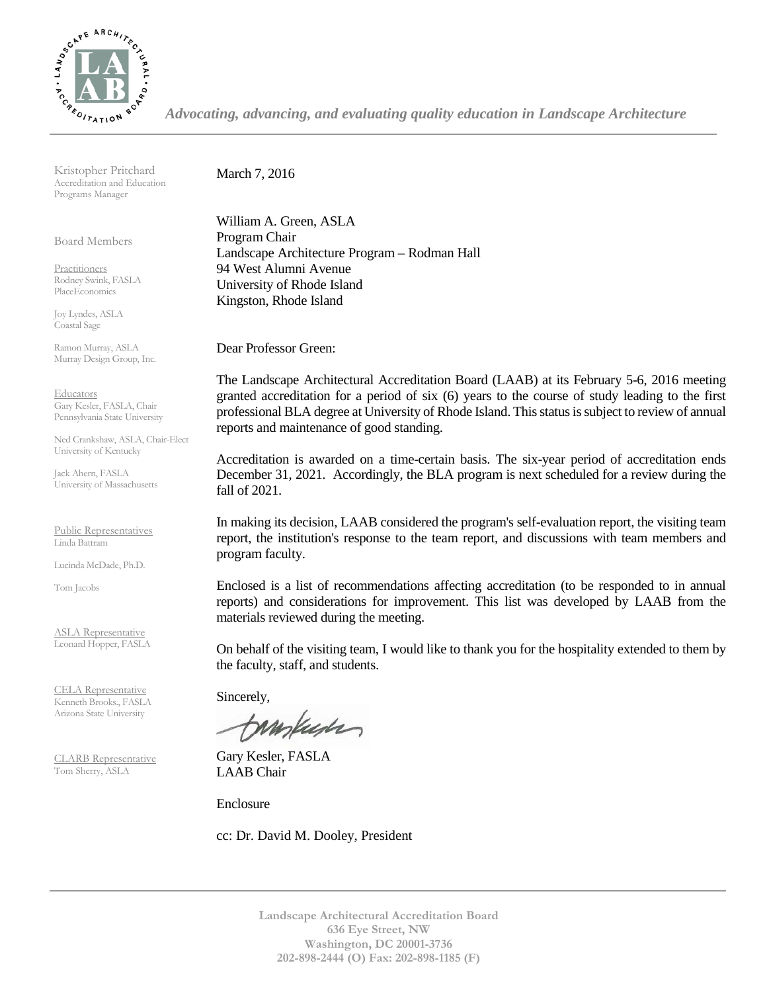

*Advocating, advancing, and evaluating quality education in Landscape Architecture*

Kristopher Pritchard Accreditation and Education Programs Manager

Board Members

Practitioners Rodney Swink, FASLA PlaceEconomics

Joy Lyndes, ASLA Coastal Sage

Ramon Murray, ASLA Murray Design Group, Inc.

Educators Gary Kesler, FASLA, Chair Pennsylvania State University

Ned Crankshaw, ASLA, Chair-Elect University of Kentucky

Jack Ahern, FASLA University of Massachusetts

Public Representatives Linda Battram

Lucinda McDade, Ph.D.

Tom Jacobs

ASLA Representative Leonard Hopper, FASLA

CELA Representative Kenneth Brooks., FASLA Arizona State University

CLARB Representative Tom Sherry, ASLA

March 7, 2016

William A. Green, ASLA Program Chair Landscape Architecture Program – Rodman Hall 94 West Alumni Avenue University of Rhode Island Kingston, Rhode Island

Dear Professor Green:

The Landscape Architectural Accreditation Board (LAAB) at its February 5-6, 2016 meeting granted accreditation for a period of six (6) years to the course of study leading to the first professional BLA degree at University of Rhode Island. This status is subject to review of annual reports and maintenance of good standing.

Accreditation is awarded on a time-certain basis. The six-year period of accreditation ends December 31, 2021. Accordingly, the BLA program is next scheduled for a review during the fall of 2021.

In making its decision, LAAB considered the program's self-evaluation report, the visiting team report, the institution's response to the team report, and discussions with team members and program faculty.

Enclosed is a list of recommendations affecting accreditation (to be responded to in annual reports) and considerations for improvement. This list was developed by LAAB from the materials reviewed during the meeting.

On behalf of the visiting team, I would like to thank you for the hospitality extended to them by the faculty, staff, and students.

Sincerely,

tampuser

Gary Kesler, FASLA LAAB Chair

Enclosure

cc: Dr. David M. Dooley, President

**Landscape Architectural Accreditation Board 636 Eye Street, NW Washington, DC 20001-3736 202-898-2444 (O) Fax: 202-898-1185 (F)**